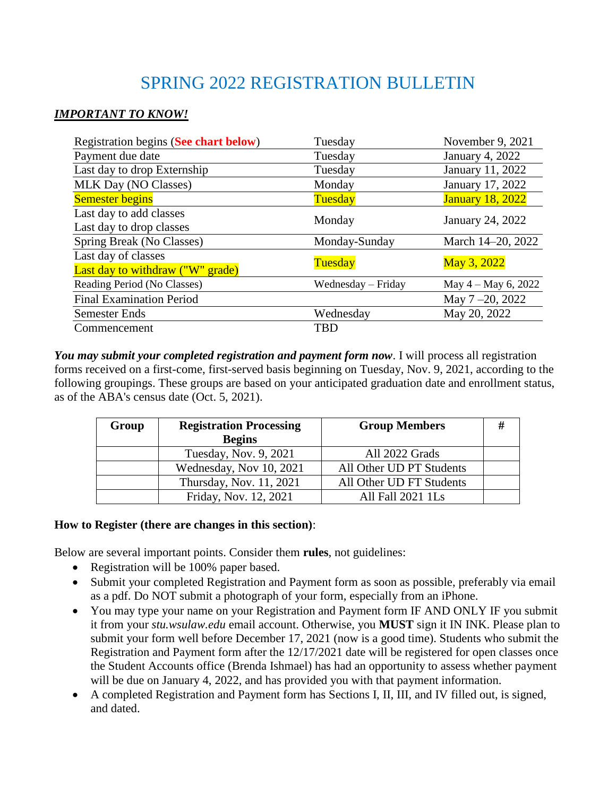# SPRING 2022 REGISTRATION BULLETIN

## *IMPORTANT TO KNOW!*

| Registration begins (See chart below) | Tuesday            | November 9, 2021        |  |
|---------------------------------------|--------------------|-------------------------|--|
| Payment due date                      | Tuesday            | January 4, 2022         |  |
| Last day to drop Externship           | Tuesday            | January 11, 2022        |  |
| <b>MLK Day (NO Classes)</b>           | Monday             | January 17, 2022        |  |
| <b>Semester begins</b>                | Tuesday            | <b>January 18, 2022</b> |  |
| Last day to add classes               | Monday             |                         |  |
| Last day to drop classes              |                    | January 24, 2022        |  |
| Spring Break (No Classes)             | Monday-Sunday      | March 14-20, 2022       |  |
| Last day of classes                   |                    |                         |  |
| Last day to withdraw ("W" grade)      | Tuesday            | May 3, 2022             |  |
| Reading Period (No Classes)           | Wednesday – Friday | May $4 -$ May 6, 2022   |  |
| <b>Final Examination Period</b>       |                    | May 7-20, 2022          |  |
| <b>Semester Ends</b>                  | Wednesday          | May 20, 2022            |  |
| Commencement                          | TBD                |                         |  |

*You may submit your completed registration and payment form now*. I will process all registration forms received on a first-come, first-served basis beginning on Tuesday, Nov. 9, 2021, according to the following groupings. These groups are based on your anticipated graduation date and enrollment status, as of the ABA's census date (Oct. 5, 2021).

| Group | <b>Registration Processing</b> | <b>Group Members</b>     | # |
|-------|--------------------------------|--------------------------|---|
|       | <b>Begins</b>                  |                          |   |
|       | Tuesday, Nov. 9, 2021          | All 2022 Grads           |   |
|       | Wednesday, Nov 10, 2021        | All Other UD PT Students |   |
|       | Thursday, Nov. 11, 2021        | All Other UD FT Students |   |
|       | Friday, Nov. 12, 2021          | All Fall 2021 1Ls        |   |

## **How to Register (there are changes in this section)**:

Below are several important points. Consider them **rules**, not guidelines:

- Registration will be 100% paper based.
- Submit your completed Registration and Payment form as soon as possible, preferably via email as a pdf. Do NOT submit a photograph of your form, especially from an iPhone.
- You may type your name on your Registration and Payment form IF AND ONLY IF you submit it from your *stu.wsulaw.edu* email account. Otherwise, you **MUST** sign it IN INK. Please plan to submit your form well before December 17, 2021 (now is a good time). Students who submit the Registration and Payment form after the 12/17/2021 date will be registered for open classes once the Student Accounts office (Brenda Ishmael) has had an opportunity to assess whether payment will be due on January 4, 2022, and has provided you with that payment information.
- A completed Registration and Payment form has Sections I, II, III, and IV filled out, is signed, and dated.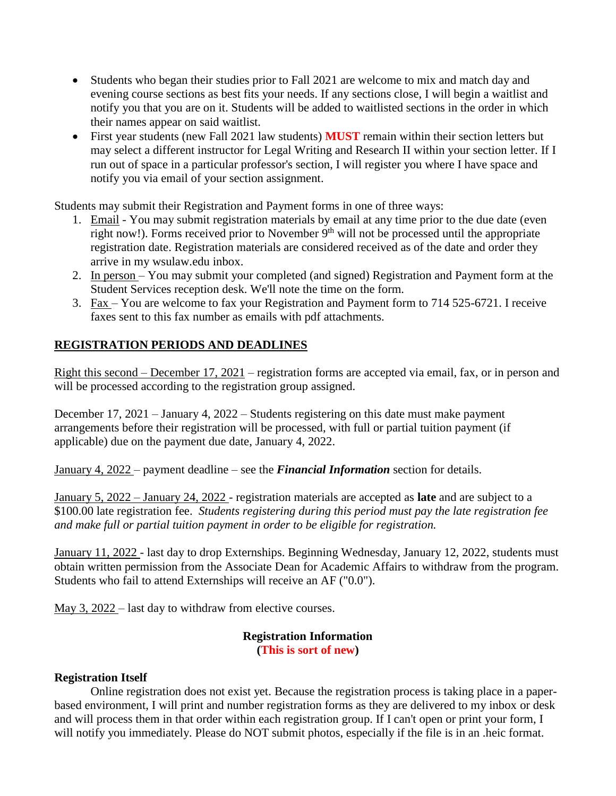- Students who began their studies prior to Fall 2021 are welcome to mix and match day and evening course sections as best fits your needs. If any sections close, I will begin a waitlist and notify you that you are on it. Students will be added to waitlisted sections in the order in which their names appear on said waitlist.
- First year students (new Fall 2021 law students) **MUST** remain within their section letters but may select a different instructor for Legal Writing and Research II within your section letter. If I run out of space in a particular professor's section, I will register you where I have space and notify you via email of your section assignment.

Students may submit their Registration and Payment forms in one of three ways:

- 1. Email You may submit registration materials by email at any time prior to the due date (even right now!). Forms received prior to November 9<sup>th</sup> will not be processed until the appropriate registration date. Registration materials are considered received as of the date and order they arrive in my wsulaw.edu inbox.
- 2. In person You may submit your completed (and signed) Registration and Payment form at the Student Services reception desk. We'll note the time on the form.
- 3. Fax You are welcome to fax your Registration and Payment form to 714 525-6721. I receive faxes sent to this fax number as emails with pdf attachments.

## **REGISTRATION PERIODS AND DEADLINES**

Right this second – December 17, 2021 – registration forms are accepted via email, fax, or in person and will be processed according to the registration group assigned.

December 17, 2021 – January 4, 2022 – Students registering on this date must make payment arrangements before their registration will be processed, with full or partial tuition payment (if applicable) due on the payment due date, January 4, 2022.

January 4, 2022 – payment deadline – see the *Financial Information* section for details.

January 5, 2022 – January 24, 2022 - registration materials are accepted as **late** and are subject to a \$100.00 late registration fee. *Students registering during this period must pay the late registration fee and make full or partial tuition payment in order to be eligible for registration.*

January 11, 2022 - last day to drop Externships. Beginning Wednesday, January 12, 2022, students must obtain written permission from the Associate Dean for Academic Affairs to withdraw from the program. Students who fail to attend Externships will receive an AF ("0.0").

May 3, 2022 – last day to withdraw from elective courses.

## **Registration Information**

**(This is sort of new)**

## **Registration Itself**

Online registration does not exist yet. Because the registration process is taking place in a paperbased environment, I will print and number registration forms as they are delivered to my inbox or desk and will process them in that order within each registration group. If I can't open or print your form, I will notify you immediately. Please do NOT submit photos, especially if the file is in an .heic format.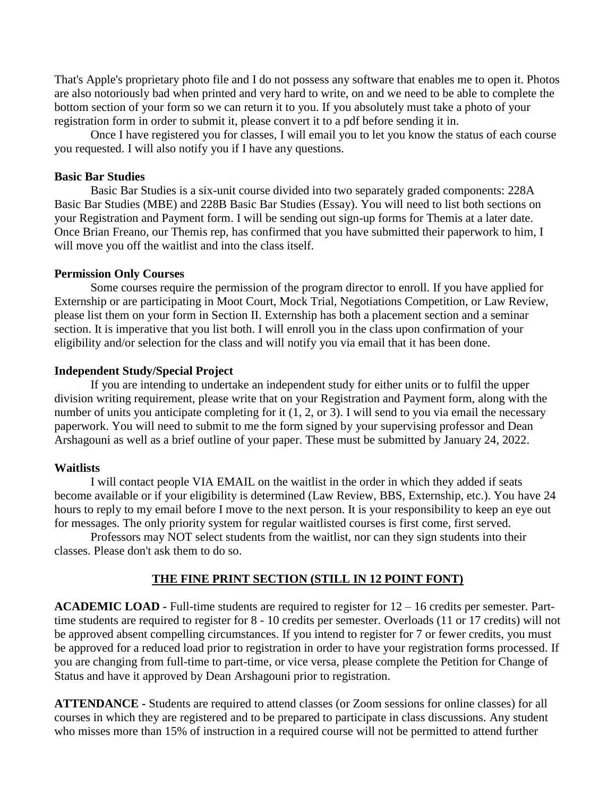That's Apple's proprietary photo file and I do not possess any software that enables me to open it. Photos are also notoriously bad when printed and very hard to write, on and we need to be able to complete the bottom section of your form so we can return it to you. If you absolutely must take a photo of your registration form in order to submit it, please convert it to a pdf before sending it in.

Once I have registered you for classes, I will email you to let you know the status of each course you requested. I will also notify you if I have any questions.

#### **Basic Bar Studies**

Basic Bar Studies is a six-unit course divided into two separately graded components: 228A Basic Bar Studies (MBE) and 228B Basic Bar Studies (Essay). You will need to list both sections on your Registration and Payment form. I will be sending out sign-up forms for Themis at a later date. Once Brian Freano, our Themis rep, has confirmed that you have submitted their paperwork to him, I will move you off the waitlist and into the class itself.

#### **Permission Only Courses**

Some courses require the permission of the program director to enroll. If you have applied for Externship or are participating in Moot Court, Mock Trial, Negotiations Competition, or Law Review, please list them on your form in Section II. Externship has both a placement section and a seminar section. It is imperative that you list both. I will enroll you in the class upon confirmation of your eligibility and/or selection for the class and will notify you via email that it has been done.

#### **Independent Study/Special Project**

If you are intending to undertake an independent study for either units or to fulfil the upper division writing requirement, please write that on your Registration and Payment form, along with the number of units you anticipate completing for it  $(1, 2, 0r 3)$ . I will send to you via email the necessary paperwork. You will need to submit to me the form signed by your supervising professor and Dean Arshagouni as well as a brief outline of your paper. These must be submitted by January 24, 2022.

#### **Waitlists**

I will contact people VIA EMAIL on the waitlist in the order in which they added if seats become available or if your eligibility is determined (Law Review, BBS, Externship, etc.). You have 24 hours to reply to my email before I move to the next person. It is your responsibility to keep an eye out for messages. The only priority system for regular waitlisted courses is first come, first served.

Professors may NOT select students from the waitlist, nor can they sign students into their classes. Please don't ask them to do so.

#### **THE FINE PRINT SECTION (STILL IN 12 POINT FONT)**

**ACADEMIC LOAD -** Full-time students are required to register for 12 – 16 credits per semester. Parttime students are required to register for 8 - 10 credits per semester. Overloads (11 or 17 credits) will not be approved absent compelling circumstances. If you intend to register for 7 or fewer credits, you must be approved for a reduced load prior to registration in order to have your registration forms processed. If you are changing from full-time to part-time, or vice versa, please complete the Petition for Change of Status and have it approved by Dean Arshagouni prior to registration.

**ATTENDANCE -** Students are required to attend classes (or Zoom sessions for online classes) for all courses in which they are registered and to be prepared to participate in class discussions. Any student who misses more than 15% of instruction in a required course will not be permitted to attend further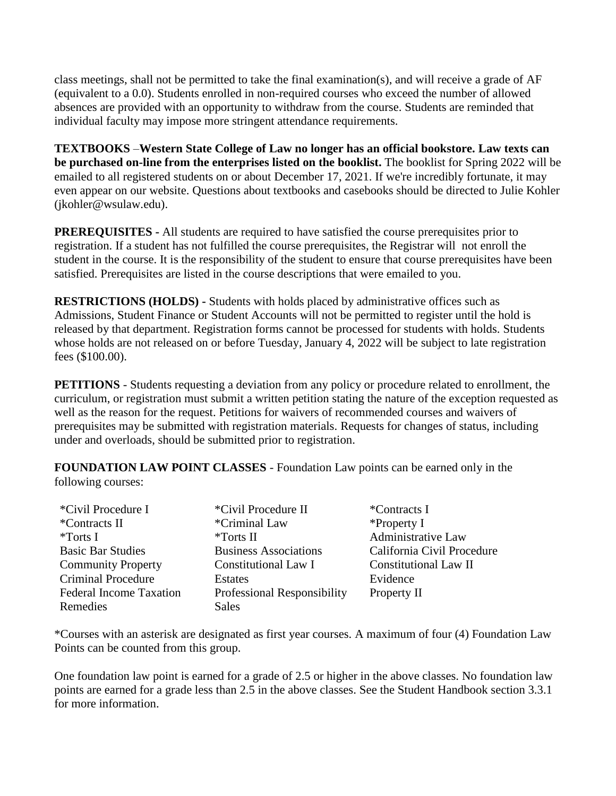class meetings, shall not be permitted to take the final examination(s), and will receive a grade of AF (equivalent to a 0.0). Students enrolled in non-required courses who exceed the number of allowed absences are provided with an opportunity to withdraw from the course. Students are reminded that individual faculty may impose more stringent attendance requirements.

**TEXTBOOKS** –**Western State College of Law no longer has an official bookstore. Law texts can be purchased on-line from the enterprises listed on the booklist.** The booklist for Spring 2022 will be emailed to all registered students on or about December 17, 2021. If we're incredibly fortunate, it may even appear on our website. Questions about textbooks and casebooks should be directed to Julie Kohler (jkohler@wsulaw.edu).

**PREREQUISITES -** All students are required to have satisfied the course prerequisites prior to registration. If a student has not fulfilled the course prerequisites, the Registrar will not enroll the student in the course. It is the responsibility of the student to ensure that course prerequisites have been satisfied. Prerequisites are listed in the course descriptions that were emailed to you.

**RESTRICTIONS (HOLDS) -** Students with holds placed by administrative offices such as Admissions, Student Finance or Student Accounts will not be permitted to register until the hold is released by that department. Registration forms cannot be processed for students with holds. Students whose holds are not released on or before Tuesday, January 4, 2022 will be subject to late registration fees (\$100.00).

**PETITIONS** - Students requesting a deviation from any policy or procedure related to enrollment, the curriculum, or registration must submit a written petition stating the nature of the exception requested as well as the reason for the request. Petitions for waivers of recommended courses and waivers of prerequisites may be submitted with registration materials. Requests for changes of status, including under and overloads, should be submitted prior to registration.

**FOUNDATION LAW POINT CLASSES** - Foundation Law points can be earned only in the following courses:

| *Civil Procedure I             | *Civil Procedure II                | <i>*</i> Contracts I         |
|--------------------------------|------------------------------------|------------------------------|
| *Contracts II                  | *Criminal Law                      | $*$ Property I               |
| *Torts I                       | *Torts II                          | <b>Administrative Law</b>    |
| <b>Basic Bar Studies</b>       | <b>Business Associations</b>       | California Civil Procedure   |
| <b>Community Property</b>      | <b>Constitutional Law I</b>        | <b>Constitutional Law II</b> |
| <b>Criminal Procedure</b>      | <b>Estates</b>                     | Evidence                     |
| <b>Federal Income Taxation</b> | <b>Professional Responsibility</b> | Property II                  |
| Remedies                       | <b>Sales</b>                       |                              |

\*Courses with an asterisk are designated as first year courses. A maximum of four (4) Foundation Law Points can be counted from this group.

One foundation law point is earned for a grade of 2.5 or higher in the above classes. No foundation law points are earned for a grade less than 2.5 in the above classes. See the Student Handbook section 3.3.1 for more information.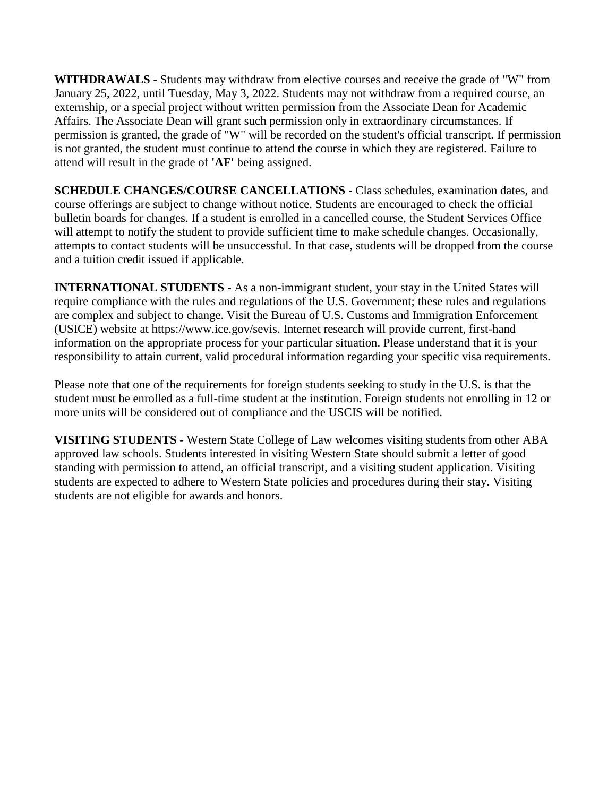**WITHDRAWALS -** Students may withdraw from elective courses and receive the grade of "W" from January 25, 2022, until Tuesday, May 3, 2022. Students may not withdraw from a required course, an externship, or a special project without written permission from the Associate Dean for Academic Affairs. The Associate Dean will grant such permission only in extraordinary circumstances. If permission is granted, the grade of "W" will be recorded on the student's official transcript. If permission is not granted, the student must continue to attend the course in which they are registered. Failure to attend will result in the grade of **'AF'** being assigned.

**SCHEDULE CHANGES/COURSE CANCELLATIONS -** Class schedules, examination dates, and course offerings are subject to change without notice. Students are encouraged to check the official bulletin boards for changes. If a student is enrolled in a cancelled course, the Student Services Office will attempt to notify the student to provide sufficient time to make schedule changes. Occasionally, attempts to contact students will be unsuccessful. In that case, students will be dropped from the course and a tuition credit issued if applicable.

**INTERNATIONAL STUDENTS -** As a non-immigrant student, your stay in the United States will require compliance with the rules and regulations of the U.S. Government; these rules and regulations are complex and subject to change. Visit the Bureau of U.S. Customs and Immigration Enforcement (USICE) website at https://www.ice.gov/sevis. Internet research will provide current, first-hand information on the appropriate process for your particular situation. Please understand that it is your responsibility to attain current, valid procedural information regarding your specific visa requirements.

Please note that one of the requirements for foreign students seeking to study in the U.S. is that the student must be enrolled as a full-time student at the institution. Foreign students not enrolling in 12 or more units will be considered out of compliance and the USCIS will be notified.

**VISITING STUDENTS -** Western State College of Law welcomes visiting students from other ABA approved law schools. Students interested in visiting Western State should submit a letter of good standing with permission to attend, an official transcript, and a visiting student application. Visiting students are expected to adhere to Western State policies and procedures during their stay. Visiting students are not eligible for awards and honors.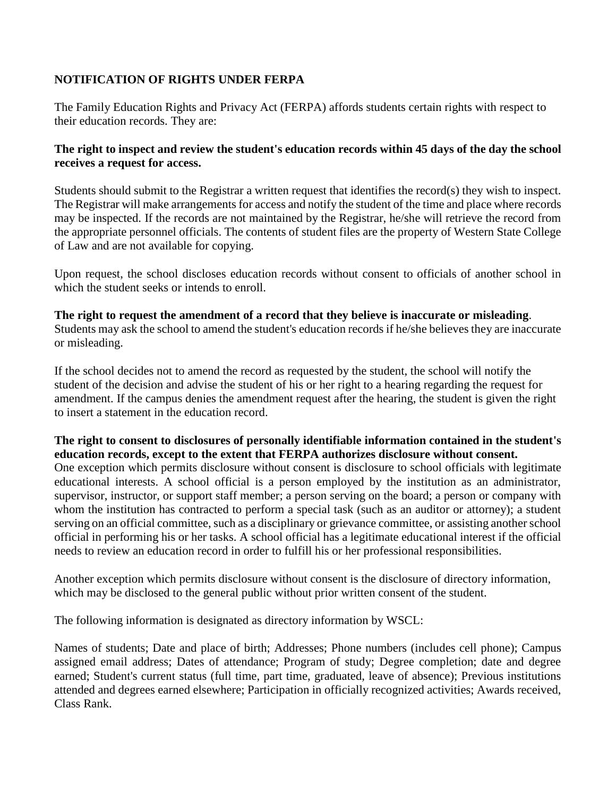## **NOTIFICATION OF RIGHTS UNDER FERPA**

The Family Education Rights and Privacy Act (FERPA) affords students certain rights with respect to their education records. They are:

## **The right to inspect and review the student's education records within 45 days of the day the school receives a request for access.**

Students should submit to the Registrar a written request that identifies the record(s) they wish to inspect. The Registrar will make arrangements for access and notify the student of the time and place where records may be inspected. If the records are not maintained by the Registrar, he/she will retrieve the record from the appropriate personnel officials. The contents of student files are the property of Western State College of Law and are not available for copying.

Upon request, the school discloses education records without consent to officials of another school in which the student seeks or intends to enroll.

**The right to request the amendment of a record that they believe is inaccurate or misleading**. Students may ask the school to amend the student's education records if he/she believes they are inaccurate or misleading.

If the school decides not to amend the record as requested by the student, the school will notify the student of the decision and advise the student of his or her right to a hearing regarding the request for amendment. If the campus denies the amendment request after the hearing, the student is given the right to insert a statement in the education record.

## **The right to consent to disclosures of personally identifiable information contained in the student's education records, except to the extent that FERPA authorizes disclosure without consent.**

One exception which permits disclosure without consent is disclosure to school officials with legitimate educational interests. A school official is a person employed by the institution as an administrator, supervisor, instructor, or support staff member; a person serving on the board; a person or company with whom the institution has contracted to perform a special task (such as an auditor or attorney); a student serving on an official committee, such as a disciplinary or grievance committee, or assisting another school official in performing his or her tasks. A school official has a legitimate educational interest if the official needs to review an education record in order to fulfill his or her professional responsibilities.

Another exception which permits disclosure without consent is the disclosure of directory information, which may be disclosed to the general public without prior written consent of the student.

The following information is designated as directory information by WSCL:

Names of students; Date and place of birth; Addresses; Phone numbers (includes cell phone); Campus assigned email address; Dates of attendance; Program of study; Degree completion; date and degree earned; Student's current status (full time, part time, graduated, leave of absence); Previous institutions attended and degrees earned elsewhere; Participation in officially recognized activities; Awards received, Class Rank.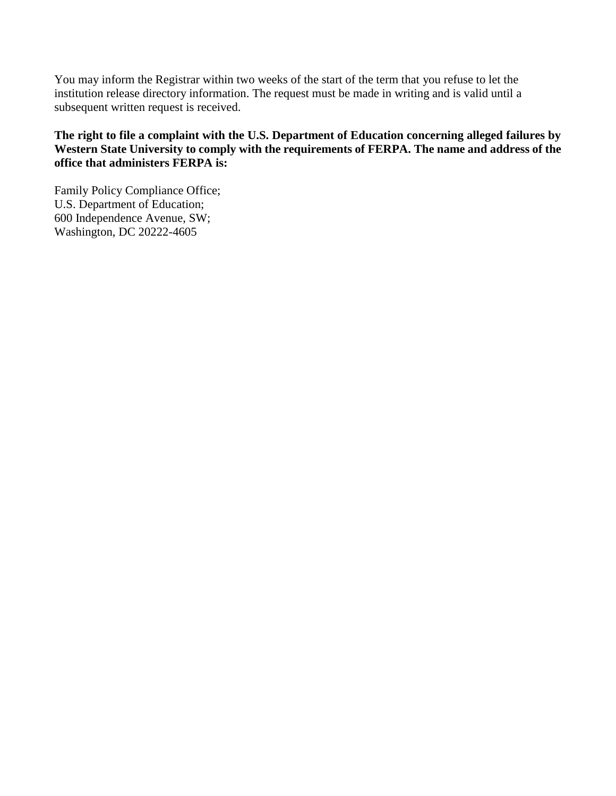You may inform the Registrar within two weeks of the start of the term that you refuse to let the institution release directory information. The request must be made in writing and is valid until a subsequent written request is received.

## **The right to file a complaint with the U.S. Department of Education concerning alleged failures by Western State University to comply with the requirements of FERPA. The name and address of the office that administers FERPA is:**

Family Policy Compliance Office; U.S. Department of Education; 600 Independence Avenue, SW; Washington, DC 20222-4605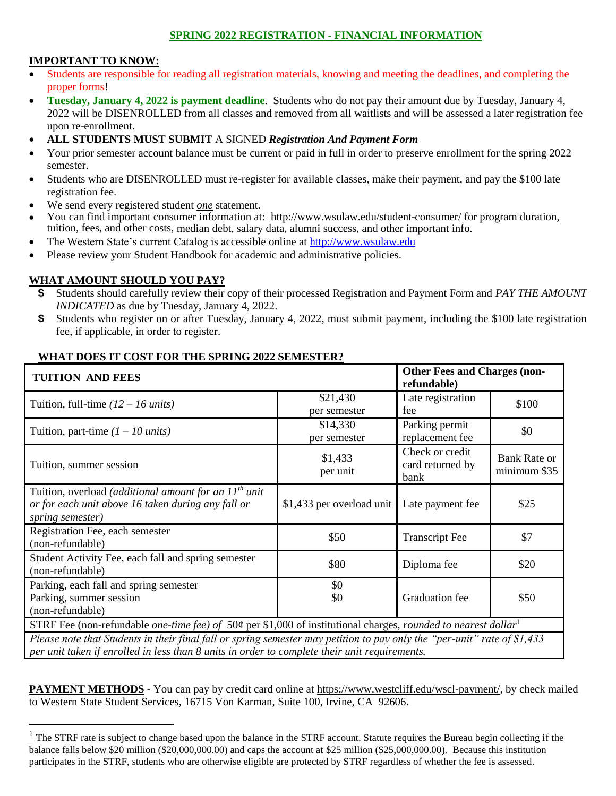#### **SPRING 2022 REGISTRATION - FINANCIAL INFORMATION**

#### **IMPORTANT TO KNOW:**

- Students are responsible for reading all registration materials, knowing and meeting the deadlines, and completing the proper forms!
- **Tuesday, January 4, 2022 is payment deadline**. Students who do not pay their amount due by Tuesday, January 4, 2022 will be DISENROLLED from all classes and removed from all waitlists and will be assessed a later registration fee upon re-enrollment.
- **ALL STUDENTS MUST SUBMIT** A SIGNED *Registration And Payment Form*
- Your prior semester account balance must be current or paid in full in order to preserve enrollment for the spring 2022 semester.
- Students who are DISENROLLED must re-register for available classes, make their payment, and pay the \$100 late registration fee.
- We send every registered student *one* statement.
- You can find important consumer information at: <http://www.wsulaw.edu/student-consumer/> for program duration, tuition, fees, and other costs, median debt, salary data, alumni success, and other important info.
- The Western State's current Catalog is accessible online at [http://www.wsulaw.edu](http://www.wsulaw.edu/)
- Please review your Student Handbook for academic and administrative policies.

#### **WHAT AMOUNT SHOULD YOU PAY?**

 $\overline{a}$ 

- **\$** Students should carefully review their copy of their processed Registration and Payment Form and *PAY THE AMOUNT INDICATED* as due by Tuesday, January 4, 2022.
- **\$** Students who register on or after Tuesday, January 4, 2022, must submit payment, including the \$100 late registration fee, if applicable, in order to register.

| WHAT DOES IT COST FOR THE SPRING 2022 SEMESTER?<br><b>Other Fees and Charges (non-</b><br><b>TUITION AND FEES</b>                                      |                                            |                                             |                                     |
|--------------------------------------------------------------------------------------------------------------------------------------------------------|--------------------------------------------|---------------------------------------------|-------------------------------------|
| Tuition, full-time $(12 – 16 \text{ units})$                                                                                                           | \$21,430<br>per semester                   | refundable)<br>Late registration<br>fee     | \$100                               |
| Tuition, part-time $(1 – 10 units)$                                                                                                                    | \$14,330<br>per semester                   | Parking permit<br>replacement fee           | \$0                                 |
| Tuition, summer session                                                                                                                                | \$1,433<br>per unit                        | Check or credit<br>card returned by<br>bank | <b>Bank Rate or</b><br>minimum \$35 |
| Tuition, overload <i>(additional amount for an <math>11^{th}</math> unit</i><br>or for each unit above 16 taken during any fall or<br>spring semester) | \$1,433 per overload unit Late payment fee |                                             | \$25                                |
| Registration Fee, each semester<br>(non-refundable)                                                                                                    | \$50                                       | <b>Transcript Fee</b>                       | \$7                                 |
| Student Activity Fee, each fall and spring semester<br>(non-refundable)                                                                                | \$80                                       | Diploma fee                                 | \$20                                |
| Parking, each fall and spring semester<br>Parking, summer session<br>(non-refundable)                                                                  | \$0<br>\$0                                 | Graduation fee                              | \$50                                |
| STRF Fee (non-refundable <i>one-time fee)</i> of 50¢ per \$1,000 of institutional charges, <i>rounded to nearest dollar</i> <sup>1</sup>               |                                            |                                             |                                     |

*Please note that Students in their final fall or spring semester may petition to pay only the "per-unit" rate of \$1,433 per unit taken if enrolled in less than 8 units in order to complete their unit requirements.* 

**PAYMENT METHODS -** You can pay by credit card online at [https://www.westcliff.edu/wscl-payment/,](https://www.westcliff.edu/wscl-payment/) by check mailed to Western State Student Services, 16715 Von Karman, Suite 100, Irvine, CA 92606.

 $1$  The STRF rate is subject to change based upon the balance in the STRF account. Statute requires the Bureau begin collecting if the balance falls below \$20 million (\$20,000,000.00) and caps the account at \$25 million (\$25,000,000.00). Because this institution participates in the STRF, students who are otherwise eligible are protected by STRF regardless of whether the fee is assessed.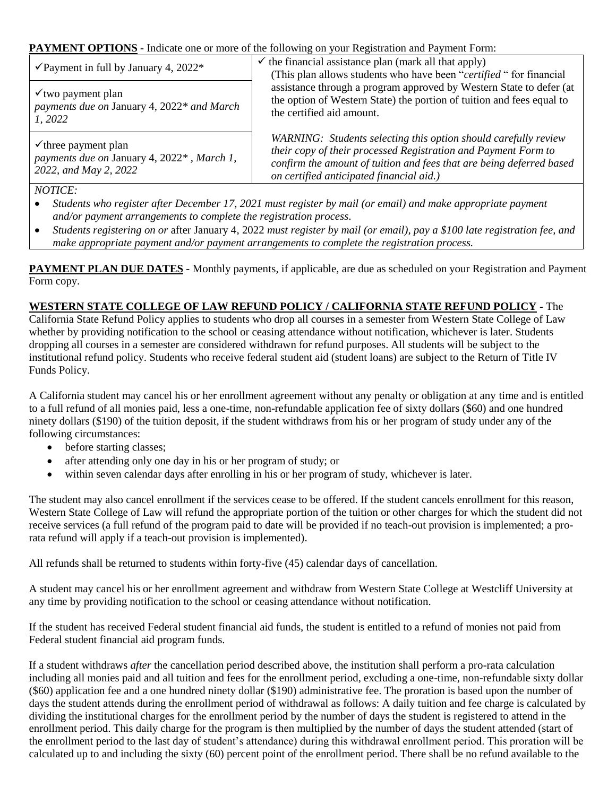**PAYMENT OPTIONS -** Indicate one or more of the following on your Registration and Payment Form:

| $\checkmark$ Payment in full by January 4, 2022*                                                       | $\checkmark$ the financial assistance plan (mark all that apply)<br>(This plan allows students who have been "certified" for financial<br>assistance through a program approved by Western State to defer (at<br>the option of Western State) the portion of tuition and fees equal to<br>the certified aid amount. |
|--------------------------------------------------------------------------------------------------------|---------------------------------------------------------------------------------------------------------------------------------------------------------------------------------------------------------------------------------------------------------------------------------------------------------------------|
| $\checkmark$ two payment plan<br>payments due on January 4, 2022* and March<br>1, 2022                 |                                                                                                                                                                                                                                                                                                                     |
| $\checkmark$ three payment plan<br>payments due on January 4, 2022*, March 1,<br>2022, and May 2, 2022 | WARNING: Students selecting this option should carefully review<br>their copy of their processed Registration and Payment Form to<br>confirm the amount of tuition and fees that are being deferred based<br>on certified anticipated financial aid.)                                                               |

### *NOTICE:*

- *Students who register after December 17, 2021 must register by mail (or email) and make appropriate payment and/or payment arrangements to complete the registration process.*
- *Students registering on or* after January 4, 2022 *must register by mail (or email), pay a \$100 late registration fee, and make appropriate payment and/or payment arrangements to complete the registration process.*

**PAYMENT PLAN DUE DATES -** Monthly payments, if applicable, are due as scheduled on your Registration and Payment Form copy.

## **WESTERN STATE COLLEGE OF LAW REFUND POLICY / CALIFORNIA STATE REFUND POLICY -** The

California State Refund Policy applies to students who drop all courses in a semester from Western State College of Law whether by providing notification to the school or ceasing attendance without notification, whichever is later. Students dropping all courses in a semester are considered withdrawn for refund purposes. All students will be subject to the institutional refund policy. Students who receive federal student aid (student loans) are subject to the Return of Title IV Funds Policy.

A California student may cancel his or her enrollment agreement without any penalty or obligation at any time and is entitled to a full refund of all monies paid, less a one-time, non-refundable application fee of sixty dollars (\$60) and one hundred ninety dollars (\$190) of the tuition deposit, if the student withdraws from his or her program of study under any of the following circumstances:

- before starting classes;
- after attending only one day in his or her program of study; or
- within seven calendar days after enrolling in his or her program of study, whichever is later.

The student may also cancel enrollment if the services cease to be offered. If the student cancels enrollment for this reason, Western State College of Law will refund the appropriate portion of the tuition or other charges for which the student did not receive services (a full refund of the program paid to date will be provided if no teach-out provision is implemented; a prorata refund will apply if a teach-out provision is implemented).

All refunds shall be returned to students within forty-five (45) calendar days of cancellation.

A student may cancel his or her enrollment agreement and withdraw from Western State College at Westcliff University at any time by providing notification to the school or ceasing attendance without notification.

If the student has received Federal student financial aid funds, the student is entitled to a refund of monies not paid from Federal student financial aid program funds.

If a student withdraws *after* the cancellation period described above, the institution shall perform a pro-rata calculation including all monies paid and all tuition and fees for the enrollment period, excluding a one-time, non-refundable sixty dollar (\$60) application fee and a one hundred ninety dollar (\$190) administrative fee. The proration is based upon the number of days the student attends during the enrollment period of withdrawal as follows: A daily tuition and fee charge is calculated by dividing the institutional charges for the enrollment period by the number of days the student is registered to attend in the enrollment period. This daily charge for the program is then multiplied by the number of days the student attended (start of the enrollment period to the last day of student's attendance) during this withdrawal enrollment period. This proration will be calculated up to and including the sixty (60) percent point of the enrollment period. There shall be no refund available to the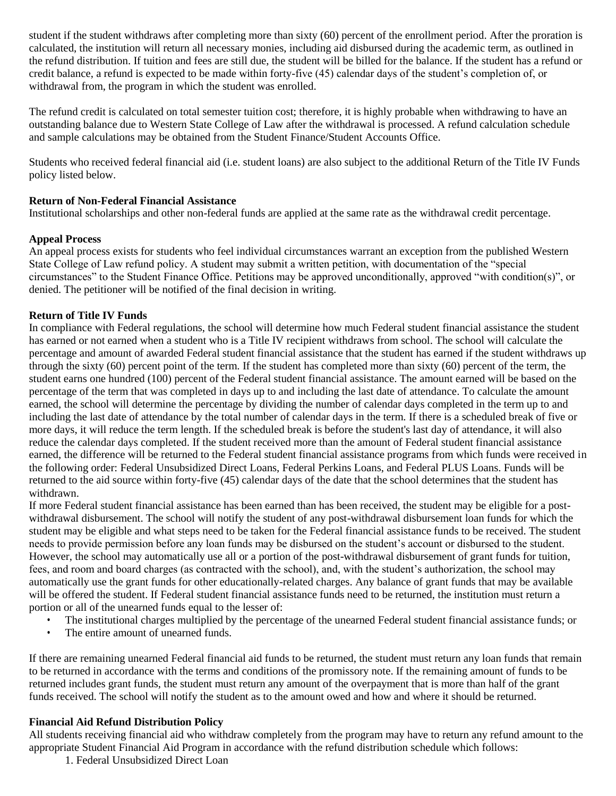student if the student withdraws after completing more than sixty (60) percent of the enrollment period. After the proration is calculated, the institution will return all necessary monies, including aid disbursed during the academic term, as outlined in the refund distribution. If tuition and fees are still due, the student will be billed for the balance. If the student has a refund or credit balance, a refund is expected to be made within forty-five (45) calendar days of the student's completion of, or withdrawal from, the program in which the student was enrolled.

The refund credit is calculated on total semester tuition cost; therefore, it is highly probable when withdrawing to have an outstanding balance due to Western State College of Law after the withdrawal is processed. A refund calculation schedule and sample calculations may be obtained from the Student Finance/Student Accounts Office.

Students who received federal financial aid (i.e. student loans) are also subject to the additional Return of the Title IV Funds policy listed below.

#### **Return of Non-Federal Financial Assistance**

Institutional scholarships and other non-federal funds are applied at the same rate as the withdrawal credit percentage.

#### **Appeal Process**

An appeal process exists for students who feel individual circumstances warrant an exception from the published Western State College of Law refund policy. A student may submit a written petition, with documentation of the "special circumstances" to the Student Finance Office. Petitions may be approved unconditionally, approved "with condition(s)", or denied. The petitioner will be notified of the final decision in writing.

#### **Return of Title IV Funds**

In compliance with Federal regulations, the school will determine how much Federal student financial assistance the student has earned or not earned when a student who is a Title IV recipient withdraws from school. The school will calculate the percentage and amount of awarded Federal student financial assistance that the student has earned if the student withdraws up through the sixty (60) percent point of the term. If the student has completed more than sixty (60) percent of the term, the student earns one hundred (100) percent of the Federal student financial assistance. The amount earned will be based on the percentage of the term that was completed in days up to and including the last date of attendance. To calculate the amount earned, the school will determine the percentage by dividing the number of calendar days completed in the term up to and including the last date of attendance by the total number of calendar days in the term. If there is a scheduled break of five or more days, it will reduce the term length. If the scheduled break is before the student's last day of attendance, it will also reduce the calendar days completed. If the student received more than the amount of Federal student financial assistance earned, the difference will be returned to the Federal student financial assistance programs from which funds were received in the following order: Federal Unsubsidized Direct Loans, Federal Perkins Loans, and Federal PLUS Loans. Funds will be returned to the aid source within forty-five (45) calendar days of the date that the school determines that the student has withdrawn.

If more Federal student financial assistance has been earned than has been received, the student may be eligible for a postwithdrawal disbursement. The school will notify the student of any post-withdrawal disbursement loan funds for which the student may be eligible and what steps need to be taken for the Federal financial assistance funds to be received. The student needs to provide permission before any loan funds may be disbursed on the student's account or disbursed to the student. However, the school may automatically use all or a portion of the post-withdrawal disbursement of grant funds for tuition, fees, and room and board charges (as contracted with the school), and, with the student's authorization, the school may automatically use the grant funds for other educationally-related charges. Any balance of grant funds that may be available will be offered the student. If Federal student financial assistance funds need to be returned, the institution must return a portion or all of the unearned funds equal to the lesser of:

- The institutional charges multiplied by the percentage of the unearned Federal student financial assistance funds; or
- The entire amount of unearned funds.

If there are remaining unearned Federal financial aid funds to be returned, the student must return any loan funds that remain to be returned in accordance with the terms and conditions of the promissory note. If the remaining amount of funds to be returned includes grant funds, the student must return any amount of the overpayment that is more than half of the grant funds received. The school will notify the student as to the amount owed and how and where it should be returned.

#### **Financial Aid Refund Distribution Policy**

All students receiving financial aid who withdraw completely from the program may have to return any refund amount to the appropriate Student Financial Aid Program in accordance with the refund distribution schedule which follows:

1. Federal Unsubsidized Direct Loan